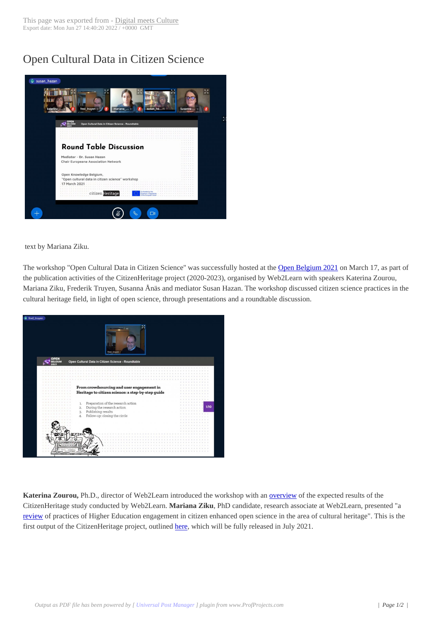## Open Cultural Dat[a in Citizen Sc](https://www.digitalmeetsculture.net/?p=56944)ience



text by Mariana Ziku.

The workshop "Open Cultural Data in Citizen Science" was successfully hosted at the Open Belgium 2021 on March 17, as part of the publication activities of the CitizenHeritage project (2020-2023), organised by Web2Learn with speakers Katerina Zourou, Mariana Ziku, Frederik Truyen, Susanna Ånäs and mediator Susan Hazan. The workshop discussed citizen science practices in the cultural heritage field, in light of open science, through presentations and a roundtable [discussion.](https://2021.openbelgium.be/)



Katerina Zourou, Ph.D., director of Web2Learn introduced the workshop with an **overview** of the expected results of the CitizenHeritage study conducted by Web2Learn. **Mariana Ziku**, PhD candidate, research associate at Web2Learn, presented "a review of practices of Higher Education engagement in citizen enhanced open science in the area of cultural heritage". This is the first output of the CitizenHeritage project, outlined here, which will be fully releas[ed in July 2](https://docs.google.com/presentation/d/1JWDjsWXdjSmKlx7BKoMDPuLJI5XtY2G7tWNbqwVcLw8/edit?usp=sharing)021.